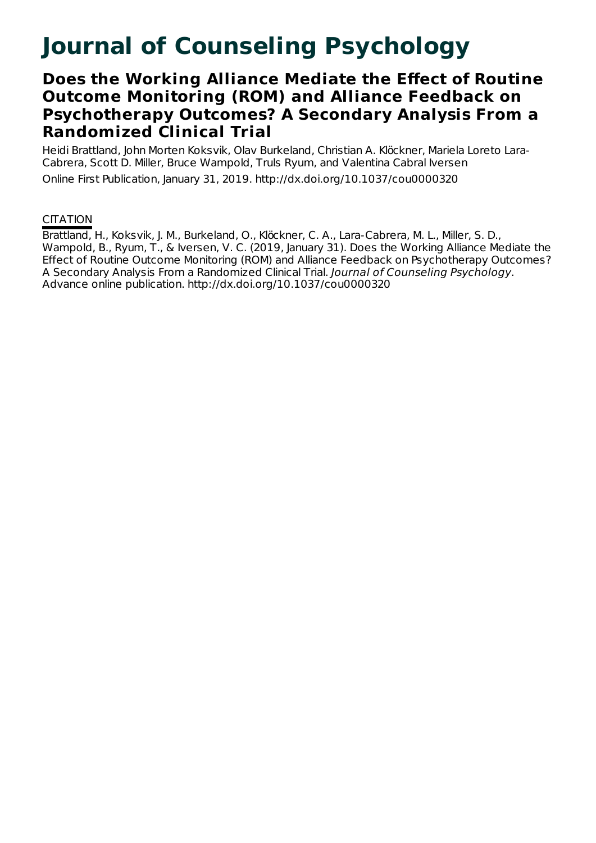# **Journal of Counseling Psychology**

## **Does the Working Alliance Mediate the Effect of Routine Outcome Monitoring (ROM) and Alliance Feedback on Psychotherapy Outcomes? A Secondary Analysis From a Randomized Clinical Trial**

Heidi Brattland, John Morten Koksvik, Olav Burkeland, Christian A. Klöckner, Mariela Loreto Lara-Cabrera, Scott D. Miller, Bruce Wampold, Truls Ryum, and Valentina Cabral Iversen Online First Publication, January 31, 2019. http://dx.doi.org/10.1037/cou0000320

### **CITATION**

Brattland, H., Koksvik, J. M., Burkeland, O., Klöckner, C. A., Lara-Cabrera, M. L., Miller, S. D., Wampold, B., Ryum, T., & Iversen, V. C. (2019, January 31). Does the Working Alliance Mediate the Effect of Routine Outcome Monitoring (ROM) and Alliance Feedback on Psychotherapy Outcomes? A Secondary Analysis From a Randomized Clinical Trial. Journal of Counseling Psychology. Advance online publication. http://dx.doi.org/10.1037/cou0000320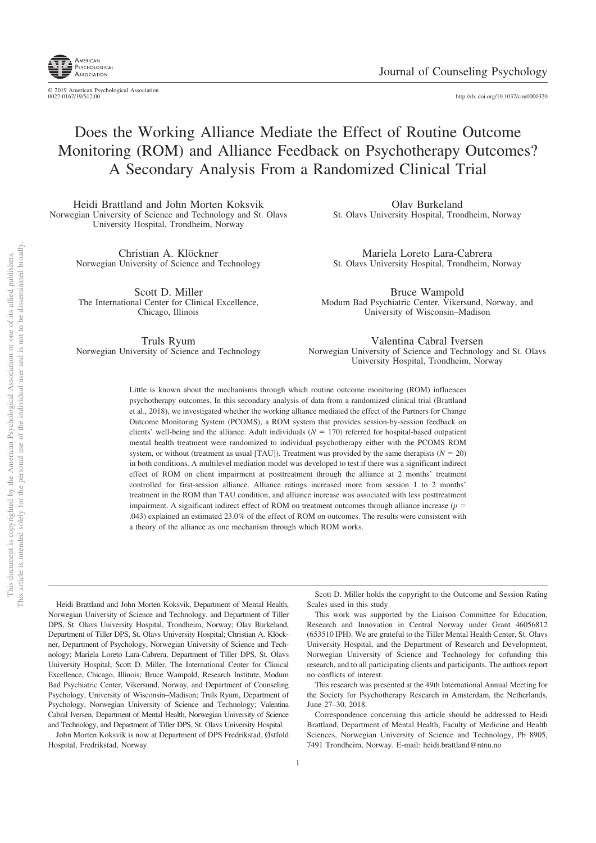

© 2019 American Psychological Association<br>0022-0167/19/\$12.00 http://dx.doi.org/10.1037/cou0000320

## Does the Working Alliance Mediate the Effect of Routine Outcome Monitoring (ROM) and Alliance Feedback on Psychotherapy Outcomes? A Secondary Analysis From a Randomized Clinical Trial

Heidi Brattland and John Morten Koksvik Norwegian University of Science and Technology and St. Olavs University Hospital, Trondheim, Norway

> Christian A. Klöckner Norwegian University of Science and Technology

Scott D. Miller The International Center for Clinical Excellence, Chicago, Illinois

Truls Ryum Norwegian University of Science and Technology

Olav Burkeland St. Olavs University Hospital, Trondheim, Norway

Mariela Loreto Lara-Cabrera St. Olavs University Hospital, Trondheim, Norway

Bruce Wampold Modum Bad Psychiatric Center, Vikersund, Norway, and University of Wisconsin–Madison

Valentina Cabral Iversen Norwegian University of Science and Technology and St. Olavs University Hospital, Trondheim, Norway

Little is known about the mechanisms through which routine outcome monitoring (ROM) influences psychotherapy outcomes. In this secondary analysis of data from a randomized clinical trial (Brattland et al., 2018), we investigated whether the working alliance mediated the effect of the Partners for Change Outcome Monitoring System (PCOMS), a ROM system that provides session-by-session feedback on clients' well-being and the alliance. Adult individuals  $(N = 170)$  referred for hospital-based outpatient mental health treatment were randomized to individual psychotherapy either with the PCOMS ROM system, or without (treatment as usual [TAU]). Treatment was provided by the same therapists ( $N = 20$ ) in both conditions. A multilevel mediation model was developed to test if there was a significant indirect effect of ROM on client impairment at posttreatment through the alliance at 2 months' treatment controlled for first-session alliance. Alliance ratings increased more from session 1 to 2 months' treatment in the ROM than TAU condition, and alliance increase was associated with less posttreatment impairment. A significant indirect effect of ROM on treatment outcomes through alliance increase ( $p =$ .043) explained an estimated 23.0% of the effect of ROM on outcomes. The results were consistent with a theory of the alliance as one mechanism through which ROM works.

Heidi Brattland and John Morten Koksvik, Department of Mental Health, Norwegian University of Science and Technology, and Department of Tiller DPS, St. Olavs University Hospital, Trondheim, Norway; Olav Burkeland, Department of Tiller DPS, St. Olavs University Hospital; Christian A. Klöckner, Department of Psychology, Norwegian University of Science and Technology; Mariela Loreto Lara-Cabrera, Department of Tiller DPS, St. Olavs University Hospital; Scott D. Miller, The International Center for Clinical Excellence, Chicago, Illinois; Bruce Wampold, Research Institute, Modum Bad Psychiatric Center, Vikersund, Norway, and Department of Counseling Psychology, University of Wisconsin–Madison; Truls Ryum, Department of Psychology, Norwegian University of Science and Technology; Valentina Cabral Iversen, Department of Mental Health, Norwegian University of Science and Technology, and Department of Tiller DPS, St. Olavs University Hospital.

John Morten Koksvik is now at Department of DPS Fredrikstad, Østfold Hospital, Fredrikstad, Norway.

Scott D. Miller holds the copyright to the Outcome and Session Rating Scales used in this study.

This work was supported by the Liaison Committee for Education, Research and Innovation in Central Norway under Grant 46056812 (653510 IPH). We are grateful to the Tiller Mental Health Center, St. Olavs University Hospital, and the Department of Research and Development, Norwegian University of Science and Technology for cofunding this research, and to all participating clients and participants. The authors report no conflicts of interest.

This research was presented at the 49th International Annual Meeting for the Society for Psychotherapy Research in Amsterdam, the Netherlands, June 27–30, 2018.

Correspondence concerning this article should be addressed to Heidi Brattland, Department of Mental Health, Faculty of Medicine and Health Sciences, Norwegian University of Science and Technology, Pb 8905, 7491 Trondheim, Norway. E-mail: heidi.brattland@ntnu.no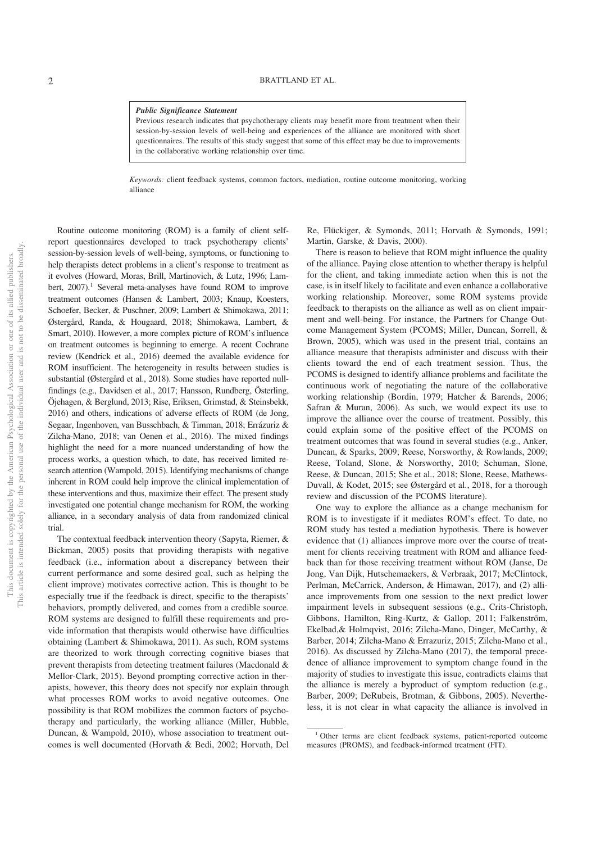#### *Public Significance Statement*

Previous research indicates that psychotherapy clients may benefit more from treatment when their session-by-session levels of well-being and experiences of the alliance are monitored with short questionnaires. The results of this study suggest that some of this effect may be due to improvements in the collaborative working relationship over time.

*Keywords:* client feedback systems, common factors, mediation, routine outcome monitoring, working alliance

Routine outcome monitoring (ROM) is a family of client selfreport questionnaires developed to track psychotherapy clients' session-by-session levels of well-being, symptoms, or functioning to help therapists detect problems in a client's response to treatment as it evolves (Howard, Moras, Brill, Martinovich, & Lutz, 1996; Lambert,  $2007$ ).<sup>1</sup> Several meta-analyses have found ROM to improve treatment outcomes (Hansen & Lambert, 2003; Knaup, Koesters, Schoefer, Becker, & Puschner, 2009; Lambert & Shimokawa, 2011; Østergård, Randa, & Hougaard, 2018; Shimokawa, Lambert, & Smart, 2010). However, a more complex picture of ROM's influence on treatment outcomes is beginning to emerge. A recent Cochrane review (Kendrick et al., 2016) deemed the available evidence for ROM insufficient. The heterogeneity in results between studies is substantial (Østergård et al., 2018). Some studies have reported nullfindings (e.g., Davidsen et al., 2017; Hansson, Rundberg, Österling, Öjehagen, & Berglund, 2013; Rise, Eriksen, Grimstad, & Steinsbekk, 2016) and others, indications of adverse effects of ROM (de Jong, Segaar, Ingenhoven, van Busschbach, & Timman, 2018; Errázuriz & Zilcha-Mano, 2018; van Oenen et al., 2016). The mixed findings highlight the need for a more nuanced understanding of how the process works, a question which, to date, has received limited research attention (Wampold, 2015). Identifying mechanisms of change inherent in ROM could help improve the clinical implementation of these interventions and thus, maximize their effect. The present study investigated one potential change mechanism for ROM, the working alliance, in a secondary analysis of data from randomized clinical trial.

The contextual feedback intervention theory (Sapyta, Riemer, & Bickman, 2005) posits that providing therapists with negative feedback (i.e., information about a discrepancy between their current performance and some desired goal, such as helping the client improve) motivates corrective action. This is thought to be especially true if the feedback is direct, specific to the therapists' behaviors, promptly delivered, and comes from a credible source. ROM systems are designed to fulfill these requirements and provide information that therapists would otherwise have difficulties obtaining (Lambert & Shimokawa, 2011). As such, ROM systems are theorized to work through correcting cognitive biases that prevent therapists from detecting treatment failures (Macdonald & Mellor-Clark, 2015). Beyond prompting corrective action in therapists, however, this theory does not specify nor explain through what processes ROM works to avoid negative outcomes. One possibility is that ROM mobilizes the common factors of psychotherapy and particularly, the working alliance (Miller, Hubble, Duncan, & Wampold, 2010), whose association to treatment outcomes is well documented (Horvath & Bedi, 2002; Horvath, Del

Re, Flückiger, & Symonds, 2011; Horvath & Symonds, 1991; Martin, Garske, & Davis, 2000).

There is reason to believe that ROM might influence the quality of the alliance. Paying close attention to whether therapy is helpful for the client, and taking immediate action when this is not the case, is in itself likely to facilitate and even enhance a collaborative working relationship. Moreover, some ROM systems provide feedback to therapists on the alliance as well as on client impairment and well-being. For instance, the Partners for Change Outcome Management System (PCOMS; Miller, Duncan, Sorrell, & Brown, 2005), which was used in the present trial, contains an alliance measure that therapists administer and discuss with their clients toward the end of each treatment session. Thus, the PCOMS is designed to identify alliance problems and facilitate the continuous work of negotiating the nature of the collaborative working relationship (Bordin, 1979; Hatcher & Barends, 2006; Safran & Muran, 2006). As such, we would expect its use to improve the alliance over the course of treatment. Possibly, this could explain some of the positive effect of the PCOMS on treatment outcomes that was found in several studies (e.g., Anker, Duncan, & Sparks, 2009; Reese, Norsworthy, & Rowlands, 2009; Reese, Toland, Slone, & Norsworthy, 2010; Schuman, Slone, Reese, & Duncan, 2015; She et al., 2018; Slone, Reese, Mathews-Duvall, & Kodet, 2015; see Østergård et al., 2018, for a thorough review and discussion of the PCOMS literature).

One way to explore the alliance as a change mechanism for ROM is to investigate if it mediates ROM's effect. To date, no ROM study has tested a mediation hypothesis. There is however evidence that (1) alliances improve more over the course of treatment for clients receiving treatment with ROM and alliance feedback than for those receiving treatment without ROM (Janse, De Jong, Van Dijk, Hutschemaekers, & Verbraak, 2017; McClintock, Perlman, McCarrick, Anderson, & Himawan, 2017), and (2) alliance improvements from one session to the next predict lower impairment levels in subsequent sessions (e.g., Crits-Christoph, Gibbons, Hamilton, Ring-Kurtz, & Gallop, 2011; Falkenström, Ekelbad,& Holmqvist, 2016; Zilcha-Mano, Dinger, McCarthy, & Barber, 2014; Zilcha-Mano & Errazuriz, 2015; Zilcha-Mano et al., 2016). As discussed by Zilcha-Mano (2017), the temporal precedence of alliance improvement to symptom change found in the majority of studies to investigate this issue, contradicts claims that the alliance is merely a byproduct of symptom reduction (e.g., Barber, 2009; DeRubeis, Brotman, & Gibbons, 2005). Nevertheless, it is not clear in what capacity the alliance is involved in

<sup>1</sup> Other terms are client feedback systems, patient-reported outcome measures (PROMS), and feedback-informed treatment (FIT).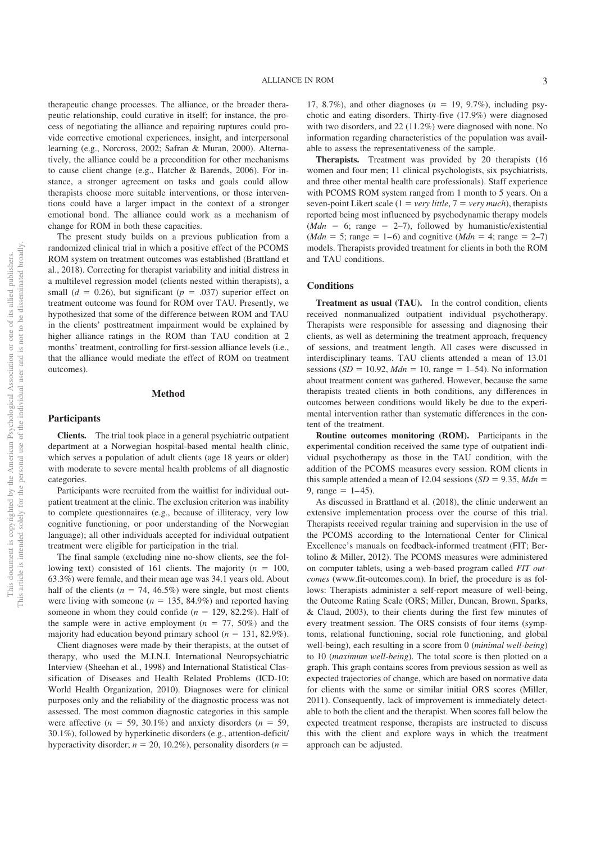therapeutic change processes. The alliance, or the broader therapeutic relationship, could curative in itself; for instance, the process of negotiating the alliance and repairing ruptures could provide corrective emotional experiences, insight, and interpersonal learning (e.g., Norcross, 2002; Safran & Muran, 2000). Alternatively, the alliance could be a precondition for other mechanisms to cause client change (e.g., Hatcher & Barends, 2006). For instance, a stronger agreement on tasks and goals could allow therapists choose more suitable interventions, or those interventions could have a larger impact in the context of a stronger emotional bond. The alliance could work as a mechanism of change for ROM in both these capacities.

The present study builds on a previous publication from a randomized clinical trial in which a positive effect of the PCOMS ROM system on treatment outcomes was established (Brattland et al., 2018). Correcting for therapist variability and initial distress in a multilevel regression model (clients nested within therapists), a small ( $d = 0.26$ ), but significant ( $p = .037$ ) superior effect on treatment outcome was found for ROM over TAU. Presently, we hypothesized that some of the difference between ROM and TAU in the clients' posttreatment impairment would be explained by higher alliance ratings in the ROM than TAU condition at 2 months' treatment, controlling for first-session alliance levels (i.e., that the alliance would mediate the effect of ROM on treatment outcomes).

#### **Method**

#### **Participants**

**Clients.** The trial took place in a general psychiatric outpatient department at a Norwegian hospital-based mental health clinic, which serves a population of adult clients (age 18 years or older) with moderate to severe mental health problems of all diagnostic categories.

Participants were recruited from the waitlist for individual outpatient treatment at the clinic. The exclusion criterion was inability to complete questionnaires (e.g., because of illiteracy, very low cognitive functioning, or poor understanding of the Norwegian language); all other individuals accepted for individual outpatient treatment were eligible for participation in the trial.

The final sample (excluding nine no-show clients, see the following text) consisted of 161 clients. The majority  $(n = 100,$ 63.3%) were female, and their mean age was 34.1 years old. About half of the clients ( $n = 74, 46.5\%$ ) were single, but most clients were living with someone ( $n = 135, 84.9\%$ ) and reported having someone in whom they could confide  $(n = 129, 82.2\%)$ . Half of the sample were in active employment  $(n = 77, 50\%)$  and the majority had education beyond primary school ( $n = 131, 82.9\%$ ).

Client diagnoses were made by their therapists, at the outset of therapy, who used the M.I.N.I. International Neuropsychiatric Interview (Sheehan et al., 1998) and International Statistical Classification of Diseases and Health Related Problems (ICD-10; World Health Organization, 2010). Diagnoses were for clinical purposes only and the reliability of the diagnostic process was not assessed. The most common diagnostic categories in this sample were affective  $(n = 59, 30.1\%)$  and anxiety disorders  $(n = 59, 59)$ 30.1%), followed by hyperkinetic disorders (e.g., attention-deficit/ hyperactivity disorder;  $n = 20, 10.2\%$ ), personality disorders ( $n =$ 

17, 8.7%), and other diagnoses  $(n = 19, 9.7\%)$ , including psychotic and eating disorders. Thirty-five (17.9%) were diagnosed with two disorders, and 22 (11.2%) were diagnosed with none. No information regarding characteristics of the population was available to assess the representativeness of the sample.

**Therapists.** Treatment was provided by 20 therapists (16 women and four men; 11 clinical psychologists, six psychiatrists, and three other mental health care professionals). Staff experience with PCOMS ROM system ranged from 1 month to 5 years. On a seven-point Likert scale  $(1 = \text{very little}, 7 = \text{very much})$ , therapists reported being most influenced by psychodynamic therapy models  $(Mdn = 6; \text{ range} = 2-7)$ , followed by humanistic/existential  $(Mdn = 5; \text{ range} = 1-6)$  and cognitive  $(Mdn = 4; \text{ range} = 2-7)$ models. Therapists provided treatment for clients in both the ROM and TAU conditions.

#### **Conditions**

**Treatment as usual (TAU).** In the control condition, clients received nonmanualized outpatient individual psychotherapy. Therapists were responsible for assessing and diagnosing their clients, as well as determining the treatment approach, frequency of sessions, and treatment length. All cases were discussed in interdisciplinary teams. TAU clients attended a mean of 13.01 sessions ( $SD = 10.92$ ,  $Mdn = 10$ , range = 1–54). No information about treatment content was gathered. However, because the same therapists treated clients in both conditions, any differences in outcomes between conditions would likely be due to the experimental intervention rather than systematic differences in the content of the treatment.

**Routine outcomes monitoring (ROM).** Participants in the experimental condition received the same type of outpatient individual psychotherapy as those in the TAU condition, with the addition of the PCOMS measures every session. ROM clients in this sample attended a mean of 12.04 sessions  $(SD = 9.35, Mdn =$ 9, range  $= 1-45$ ).

As discussed in Brattland et al. (2018), the clinic underwent an extensive implementation process over the course of this trial. Therapists received regular training and supervision in the use of the PCOMS according to the International Center for Clinical Excellence's manuals on feedback-informed treatment (FIT; Bertolino & Miller, 2012). The PCOMS measures were administered on computer tablets, using a web-based program called *FIT outcomes* (www.fit-outcomes.com). In brief, the procedure is as follows: Therapists administer a self-report measure of well-being, the Outcome Rating Scale (ORS; Miller, Duncan, Brown, Sparks, & Claud, 2003), to their clients during the first few minutes of every treatment session. The ORS consists of four items (symptoms, relational functioning, social role functioning, and global well-being), each resulting in a score from 0 (*minimal well-being*) to 10 (*maximum well-being*). The total score is then plotted on a graph. This graph contains scores from previous session as well as expected trajectories of change, which are based on normative data for clients with the same or similar initial ORS scores (Miller, 2011). Consequently, lack of improvement is immediately detectable to both the client and the therapist. When scores fall below the expected treatment response, therapists are instructed to discuss this with the client and explore ways in which the treatment approach can be adjusted.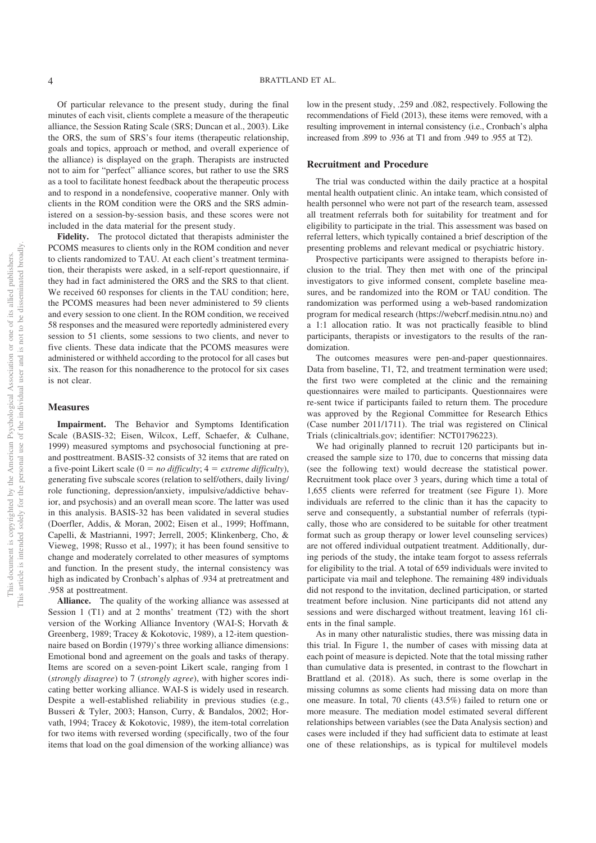Of particular relevance to the present study, during the final minutes of each visit, clients complete a measure of the therapeutic alliance, the Session Rating Scale (SRS; Duncan et al., 2003). Like the ORS, the sum of SRS's four items (therapeutic relationship, goals and topics, approach or method, and overall experience of the alliance) is displayed on the graph. Therapists are instructed not to aim for "perfect" alliance scores, but rather to use the SRS as a tool to facilitate honest feedback about the therapeutic process and to respond in a nondefensive, cooperative manner. Only with clients in the ROM condition were the ORS and the SRS administered on a session-by-session basis, and these scores were not included in the data material for the present study.

**Fidelity.** The protocol dictated that therapists administer the PCOMS measures to clients only in the ROM condition and never to clients randomized to TAU. At each client's treatment termination, their therapists were asked, in a self-report questionnaire, if they had in fact administered the ORS and the SRS to that client. We received 60 responses for clients in the TAU condition; here, the PCOMS measures had been never administered to 59 clients and every session to one client. In the ROM condition, we received 58 responses and the measured were reportedly administered every session to 51 clients, some sessions to two clients, and never to five clients. These data indicate that the PCOMS measures were administered or withheld according to the protocol for all cases but six. The reason for this nonadherence to the protocol for six cases is not clear.

#### **Measures**

**Impairment.** The Behavior and Symptoms Identification Scale (BASIS-32; Eisen, Wilcox, Leff, Schaefer, & Culhane, 1999) measured symptoms and psychosocial functioning at preand posttreatment. BASIS-32 consists of 32 items that are rated on a five-point Likert scale  $(0 = no \, difficulty; 4 = extreme \, difficulty)$ , generating five subscale scores (relation to self/others, daily living/ role functioning, depression/anxiety, impulsive/addictive behavior, and psychosis) and an overall mean score. The latter was used in this analysis. BASIS-32 has been validated in several studies (Doerfler, Addis, & Moran, 2002; Eisen et al., 1999; Hoffmann, Capelli, & Mastrianni, 1997; Jerrell, 2005; Klinkenberg, Cho, & Vieweg, 1998; Russo et al., 1997); it has been found sensitive to change and moderately correlated to other measures of symptoms and function. In the present study, the internal consistency was high as indicated by Cronbach's alphas of .934 at pretreatment and .958 at posttreatment.

**Alliance.** The quality of the working alliance was assessed at Session 1 (T1) and at 2 months' treatment (T2) with the short version of the Working Alliance Inventory (WAI-S; Horvath & Greenberg, 1989; Tracey & Kokotovic, 1989), a 12-item questionnaire based on Bordin (1979)'s three working alliance dimensions: Emotional bond and agreement on the goals and tasks of therapy. Items are scored on a seven-point Likert scale, ranging from 1 (*strongly disagree*) to 7 (*strongly agree*), with higher scores indicating better working alliance. WAI-S is widely used in research. Despite a well-established reliability in previous studies (e.g., Busseri & Tyler, 2003; Hanson, Curry, & Bandalos, 2002; Horvath, 1994; Tracey & Kokotovic, 1989), the item-total correlation for two items with reversed wording (specifically, two of the four items that load on the goal dimension of the working alliance) was

low in the present study, .259 and .082, respectively. Following the recommendations of Field (2013), these items were removed, with a resulting improvement in internal consistency (i.e., Cronbach's alpha increased from .899 to .936 at T1 and from .949 to .955 at T2).

#### **Recruitment and Procedure**

The trial was conducted within the daily practice at a hospital mental health outpatient clinic. An intake team, which consisted of health personnel who were not part of the research team, assessed all treatment referrals both for suitability for treatment and for eligibility to participate in the trial. This assessment was based on referral letters, which typically contained a brief description of the presenting problems and relevant medical or psychiatric history.

Prospective participants were assigned to therapists before inclusion to the trial. They then met with one of the principal investigators to give informed consent, complete baseline measures, and be randomized into the ROM or TAU condition. The randomization was performed using a web-based randomization program for medical research (https://webcrf.medisin.ntnu.no) and a 1:1 allocation ratio. It was not practically feasible to blind participants, therapists or investigators to the results of the randomization.

The outcomes measures were pen-and-paper questionnaires. Data from baseline, T1, T2, and treatment termination were used; the first two were completed at the clinic and the remaining questionnaires were mailed to participants. Questionnaires were re-sent twice if participants failed to return them. The procedure was approved by the Regional Committee for Research Ethics (Case number 2011/1711). The trial was registered on Clinical Trials (clinicaltrials.gov; identifier: NCT01796223).

We had originally planned to recruit 120 participants but increased the sample size to 170, due to concerns that missing data (see the following text) would decrease the statistical power. Recruitment took place over 3 years, during which time a total of 1,655 clients were referred for treatment (see Figure 1). More individuals are referred to the clinic than it has the capacity to serve and consequently, a substantial number of referrals (typically, those who are considered to be suitable for other treatment format such as group therapy or lower level counseling services) are not offered individual outpatient treatment. Additionally, during periods of the study, the intake team forgot to assess referrals for eligibility to the trial. A total of 659 individuals were invited to participate via mail and telephone. The remaining 489 individuals did not respond to the invitation, declined participation, or started treatment before inclusion. Nine participants did not attend any sessions and were discharged without treatment, leaving 161 clients in the final sample.

As in many other naturalistic studies, there was missing data in this trial. In Figure 1, the number of cases with missing data at each point of measure is depicted. Note that the total missing rather than cumulative data is presented, in contrast to the flowchart in Brattland et al. (2018). As such, there is some overlap in the missing columns as some clients had missing data on more than one measure. In total, 70 clients (43.5%) failed to return one or more measure. The mediation model estimated several different relationships between variables (see the Data Analysis section) and cases were included if they had sufficient data to estimate at least one of these relationships, as is typical for multilevel models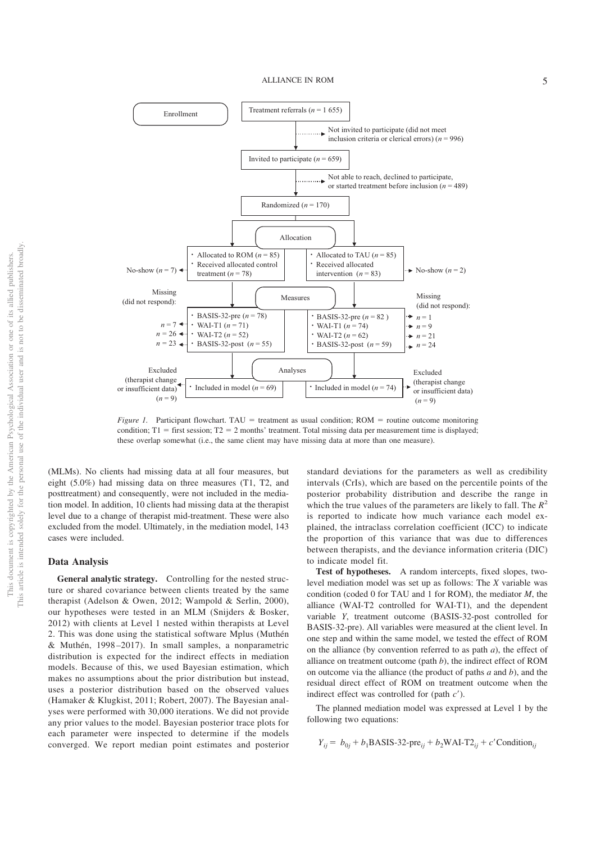

*Figure 1.* Participant flowchart. TAU = treatment as usual condition; ROM = routine outcome monitoring condition;  $T1 =$  first session;  $T2 = 2$  months' treatment. Total missing data per measurement time is displayed; these overlap somewhat (i.e., the same client may have missing data at more than one measure).

(MLMs). No clients had missing data at all four measures, but eight (5.0%) had missing data on three measures (T1, T2, and posttreatment) and consequently, were not included in the mediation model. In addition, 10 clients had missing data at the therapist level due to a change of therapist mid-treatment. These were also excluded from the model. Ultimately, in the mediation model, 143 cases were included.

#### **Data Analysis**

**General analytic strategy.** Controlling for the nested structure or shared covariance between clients treated by the same therapist (Adelson & Owen, 2012; Wampold & Serlin, 2000), our hypotheses were tested in an MLM (Snijders & Bosker, 2012) with clients at Level 1 nested within therapists at Level 2. This was done using the statistical software Mplus (Muthén & Muthén, 1998 –2017). In small samples, a nonparametric distribution is expected for the indirect effects in mediation models. Because of this, we used Bayesian estimation, which makes no assumptions about the prior distribution but instead, uses a posterior distribution based on the observed values (Hamaker & Klugkist, 2011; Robert, 2007). The Bayesian analyses were performed with 30,000 iterations. We did not provide any prior values to the model. Bayesian posterior trace plots for each parameter were inspected to determine if the models converged. We report median point estimates and posterior

standard deviations for the parameters as well as credibility intervals (CrIs), which are based on the percentile points of the posterior probability distribution and describe the range in which the true values of the parameters are likely to fall. The  $R^2$ is reported to indicate how much variance each model explained, the intraclass correlation coefficient (ICC) to indicate the proportion of this variance that was due to differences between therapists, and the deviance information criteria (DIC) to indicate model fit.

**Test of hypotheses.** A random intercepts, fixed slopes, twolevel mediation model was set up as follows: The *X* variable was condition (coded 0 for TAU and 1 for ROM), the mediator *M*, the alliance (WAI-T2 controlled for WAI-T1), and the dependent variable *Y*, treatment outcome (BASIS-32-post controlled for BASIS-32-pre). All variables were measured at the client level. In one step and within the same model, we tested the effect of ROM on the alliance (by convention referred to as path *a*), the effect of alliance on treatment outcome (path *b*), the indirect effect of ROM on outcome via the alliance (the product of paths *a* and *b*), and the residual direct effect of ROM on treatment outcome when the indirect effect was controlled for (path *c'*).

The planned mediation model was expressed at Level 1 by the following two equations:

$$
Y_{ij} = b_{0j} + b_1 \text{BASIS-32-pre}_{ij} + b_2 \text{WAI-T2}_{ij} + c' \text{Condition}_{ij}
$$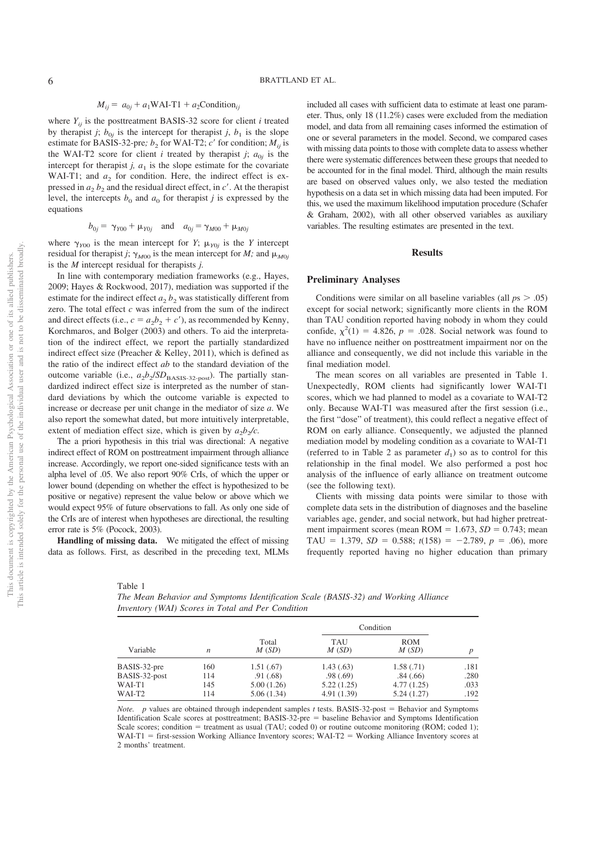#### $M_{ij} = a_{0j} + a_1 \text{WAI-T1} + a_2 \text{Condition}_{ij}$

where  $Y_{ij}$  is the posttreatment BASIS-32 score for client *i* treated by therapist *j*;  $b_{0j}$  is the intercept for therapist *j*,  $b_1$  is the slope estimate for BASIS-32-pre;  $b_2$  for WAI-T2; *c*<sup> $\prime$ </sup> for condition; *M<sub>ij</sub>* is the WAI-T2 score for client *i* treated by therapist *j*;  $a_{0i}$  is the intercept for therapist  $j$ ,  $a_1$  is the slope estimate for the covariate WAI-T1; and  $a_2$  for condition. Here, the indirect effect is expressed in  $a_2 b_2$  and the residual direct effect, in *c*<sup> $\prime$ </sup>. At the therapist level, the intercepts  $b_0$  and  $a_0$  for therapist *j* is expressed by the equations

$$
b_{0j} = \gamma_{Y00} + \mu_{Y0j}
$$
 and  $a_{0j} = \gamma_{M00} + \mu_{M0j}$ 

where  $\gamma_{Y00}$  is the mean intercept for *Y*;  $\mu_{Y0j}$  is the *Y* intercept residual for therapist *j*;  $\gamma_{M00}$  is the mean intercept for *M*; and  $\mu_{M0j}$ is the *M* intercept residual for therapists *j.*

In line with contemporary mediation frameworks (e.g., Hayes, 2009; Hayes & Rockwood, 2017), mediation was supported if the estimate for the indirect effect  $a_2 b_2$  was statistically different from zero. The total effect *c* was inferred from the sum of the indirect and direct effects (i.e.,  $c = a_2b_2 + c'$ ), as recommended by Kenny, Korchmaros, and Bolger (2003) and others. To aid the interpretation of the indirect effect, we report the partially standardized indirect effect size (Preacher & Kelley, 2011), which is defined as the ratio of the indirect effect *ab* to the standard deviation of the outcome variable (i.e.,  $a_2b_2/SD_{\text{BASIS-32-post}}$ ). The partially standardized indirect effect size is interpreted as the number of standard deviations by which the outcome variable is expected to increase or decrease per unit change in the mediator of size *a*. We also report the somewhat dated, but more intuitively interpretable, extent of mediation effect size, which is given by  $a_2b_2/c$ .

The a priori hypothesis in this trial was directional: A negative indirect effect of ROM on posttreatment impairment through alliance increase. Accordingly, we report one-sided significance tests with an alpha level of .05. We also report 90% CrIs, of which the upper or lower bound (depending on whether the effect is hypothesized to be positive or negative) represent the value below or above which we would expect 95% of future observations to fall. As only one side of the CrIs are of interest when hypotheses are directional, the resulting error rate is 5% (Pocock, 2003).

**Handling of missing data.** We mitigated the effect of missing data as follows. First, as described in the preceding text, MLMs

included all cases with sufficient data to estimate at least one parameter. Thus, only 18 (11.2%) cases were excluded from the mediation model, and data from all remaining cases informed the estimation of one or several parameters in the model. Second, we compared cases with missing data points to those with complete data to assess whether there were systematic differences between these groups that needed to be accounted for in the final model. Third, although the main results are based on observed values only, we also tested the mediation hypothesis on a data set in which missing data had been imputed. For this, we used the maximum likelihood imputation procedure (Schafer & Graham, 2002), with all other observed variables as auxiliary variables. The resulting estimates are presented in the text.

#### **Results**

#### **Preliminary Analyses**

Conditions were similar on all baseline variables (all  $p_s > .05$ ) except for social network; significantly more clients in the ROM than TAU condition reported having nobody in whom they could confide,  $\chi^2(1) = 4.826$ ,  $p = .028$ . Social network was found to have no influence neither on posttreatment impairment nor on the alliance and consequently, we did not include this variable in the final mediation model.

The mean scores on all variables are presented in Table 1. Unexpectedly, ROM clients had significantly lower WAI-T1 scores, which we had planned to model as a covariate to WAI-T2 only. Because WAI-T1 was measured after the first session (i.e., the first "dose" of treatment), this could reflect a negative effect of ROM on early alliance. Consequently, we adjusted the planned mediation model by modeling condition as a covariate to WAI-T1 (referred to in Table 2 as parameter  $d_1$ ) so as to control for this relationship in the final model. We also performed a post hoc analysis of the influence of early alliance on treatment outcome (see the following text).

Clients with missing data points were similar to those with complete data sets in the distribution of diagnoses and the baseline variables age, gender, and social network, but had higher pretreatment impairment scores (mean  $ROM = 1.673$ ,  $SD = 0.743$ ; mean TAU = 1.379,  $SD = 0.588$ ;  $t(158) = -2.789$ ,  $p = .06$ ), more frequently reported having no higher education than primary

Table 1

*The Mean Behavior and Symptoms Identification Scale (BASIS-32) and Working Alliance Inventory (WAI) Scores in Total and Per Condition*

| Variable      | n   | Total<br>M(SD) | Condition    |                     |      |
|---------------|-----|----------------|--------------|---------------------|------|
|               |     |                | TAU<br>M(SD) | <b>ROM</b><br>M(SD) |      |
| BASIS-32-pre  | 160 | 1.51(.67)      | 1.43(0.63)   | 1.58(0.71)          | .181 |
| BASIS-32-post | 114 | .91(0.68)      | .98(.69)     | .84(.66)            | .280 |
| WAI-T1        | 145 | 5.00(1.26)     | 5.22(1.25)   | 4.77(1.25)          | .033 |
| WAI-T2        | 114 | 5.06(1.34)     | 4.91(1.39)   | 5.24(1.27)          | .192 |

*Note. p* values are obtained through independent samples *t* tests. BASIS-32-post = Behavior and Symptoms Identification Scale scores at posttreatment; BASIS-32-pre = baseline Behavior and Symptoms Identification Scale scores; condition  $=$  treatment as usual (TAU; coded 0) or routine outcome monitoring (ROM; coded 1);  $WAI-T1$  = first-session Working Alliance Inventory scores; WAI-T2 = Working Alliance Inventory scores at 2 months' treatment.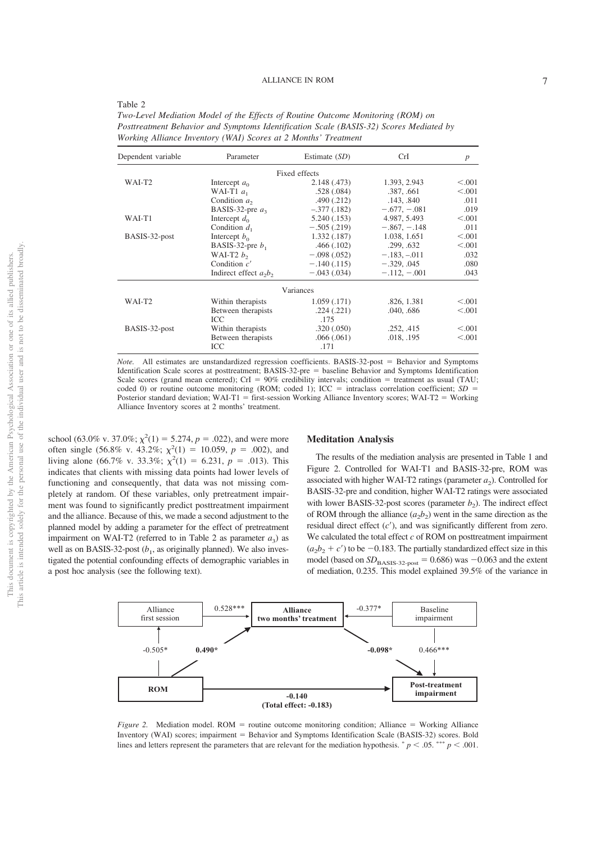| Table 2                                                                                |
|----------------------------------------------------------------------------------------|
| Two-Level Mediation Model of the Effects of Routine Outcome Monitoring (ROM) on        |
| Posttreatment Behavior and Symptoms Identification Scale (BASIS-32) Scores Mediated by |
| Working Alliance Inventory (WAI) Scores at 2 Months' Treatment                         |

| Dependent variable | Parameter                | Estimate $(SD)$ | CrI            | $\boldsymbol{p}$ |  |
|--------------------|--------------------------|-----------------|----------------|------------------|--|
|                    |                          | Fixed effects   |                |                  |  |
| WAI-T <sub>2</sub> | Intercept $a_0$          | 2.148 (.473)    | 1.393, 2.943   | < 0.001          |  |
|                    | WAI-T1 $a_1$             | .528(.084)      | .387, .661     | < 0.001          |  |
|                    | Condition $a_2$          | .490(.212)      | .143. .840     | .011             |  |
|                    | BASIS-32-pre $a_3$       | $-.377(.182)$   | $-.677, -.081$ | .019             |  |
| WAI-T1             | Intercept $d_0$          | 5.240(.153)     | 4.987, 5.493   | < 0.001          |  |
|                    | Condition $d_1$          | $-.505(.219)$   | $-.867, -.148$ | .011             |  |
| BASIS-32-post      | Intercept $b_0$          | 1.332(0.187)    | 1.038, 1.651   | < 0.001          |  |
|                    | BASIS-32-pre $b_1$       | .466(.102)      | .299, .632     | < 0.001          |  |
|                    | WAI-T2 $b2$              | $-.098(.052)$   | $-.183, -.011$ | .032             |  |
|                    | Condition $c'$           | $-.140(.115)$   | $-.329, .045$  | .080             |  |
|                    | Indirect effect $a_2b_2$ | $-.043(.034)$   | $-.112, -.001$ | .043             |  |
|                    |                          | Variances       |                |                  |  |
| WAI-T <sub>2</sub> | Within therapists        | 1.059(0.171)    | .826, 1.381    | < 0.001          |  |
|                    | Between therapists       | .224(.221)      | .040, .686     | < 0.001          |  |
|                    | <b>ICC</b>               | .175            |                |                  |  |
| BASIS-32-post      | Within therapists        | .320(.050)      | .252, .415     | < 0.001          |  |
|                    | Between therapists       | .066(.061)      | .018, .195     | < 0.001          |  |
|                    | ICC                      | .171            |                |                  |  |

*Note.* All estimates are unstandardized regression coefficients. BASIS-32-post = Behavior and Symptoms Identification Scale scores at posttreatment; BASIS-32-pre = baseline Behavior and Symptoms Identification Scale scores (grand mean centered); CrI =  $90\%$  credibility intervals; condition = treatment as usual (TAU; coded 0) or routine outcome monitoring (ROM; coded 1);  $ICC =$  intraclass correlation coefficient;  $SD =$ Posterior standard deviation; WAI-T1 = first-session Working Alliance Inventory scores; WAI-T2 = Working Alliance Inventory scores at 2 months' treatment.

school (63.0% v. 37.0%;  $\chi^2(1) = 5.274$ ,  $p = .022$ ), and were more often single (56.8% v. 43.2%;  $\chi^2(1) = 10.059$ ,  $p = .002$ ), and living alone (66.7% v. 33.3%;  $\chi^2(1) = 6.231$ ,  $p = .013$ ). This indicates that clients with missing data points had lower levels of functioning and consequently, that data was not missing completely at random. Of these variables, only pretreatment impairment was found to significantly predict posttreatment impairment and the alliance. Because of this, we made a second adjustment to the planned model by adding a parameter for the effect of pretreatment impairment on WAI-T2 (referred to in Table 2 as parameter  $a_3$ ) as well as on BASIS-32-post  $(b_1,$  as originally planned). We also investigated the potential confounding effects of demographic variables in a post hoc analysis (see the following text).

#### **Meditation Analysis**

The results of the mediation analysis are presented in Table 1 and Figure 2. Controlled for WAI-T1 and BASIS-32-pre, ROM was associated with higher WAI-T2 ratings (parameter  $a_2$ ). Controlled for BASIS-32-pre and condition, higher WAI-T2 ratings were associated with lower BASIS-32-post scores (parameter  $b_2$ ). The indirect effect of ROM through the alliance  $(a_2b_2)$  went in the same direction as the residual direct effect  $(c')$ , and was significantly different from zero. We calculated the total effect *c* of ROM on posttreatment impairment  $(a_2b_2 + c')$  to be  $-0.183$ . The partially standardized effect size in this model (based on  $SD_{\text{BASIS-32-post}}$  = 0.686) was  $-0.063$  and the extent of mediation, 0.235. This model explained 39.5% of the variance in



*Figure 2.* Mediation model.  $ROM =$  routine outcome monitoring condition; Alliance  $=$  Working AlIiance Inventory (WAI) scores; impairment = Behavior and Symptoms Identification Scale (BASIS-32) scores. Bold lines and letters represent the parameters that are relevant for the mediation hypothesis.  $p < .05$ .  $\rightarrow p < .001$ .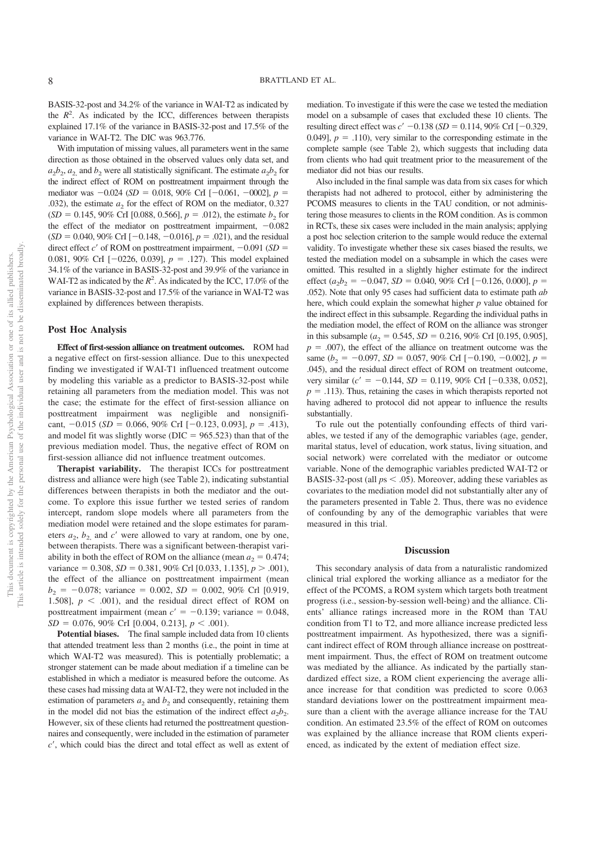BASIS-32-post and 34.2% of the variance in WAI-T2 as indicated by the  $R<sup>2</sup>$ . As indicated by the ICC, differences between therapists explained 17.1% of the variance in BASIS-32-post and 17.5% of the variance in WAI-T2. The DIC was 963.776.

With imputation of missing values, all parameters went in the same direction as those obtained in the observed values only data set, and  $a_2b_2$ ,  $a_2$  and  $b_2$  were all statistically significant. The estimate  $a_2b_2$  for the indirect effect of ROM on posttreatment impairment through the mediator was  $-0.024$  (*SD* = 0.018, 90% CrI [ $-0.061$ ,  $-0002$ ],  $p =$ .032), the estimate  $a_2$  for the effect of ROM on the mediator, 0.327  $(SD = 0.145, 90\% \text{ CrI} [0.088, 0.566], p = .012)$ , the estimate *b*<sub>2</sub> for the effect of the mediator on posttreatment impairment,  $-0.082$  $(SD = 0.040, 90\% \text{ CrI} [-0.148, -0.016], p = .021)$ , and the residual direct effect  $c'$  of ROM on posttreatment impairment,  $-0.091$  (*SD* = 0.081, 90% CrI  $[-0226, 0.039]$ ,  $p = .127$ ). This model explained 34.1% of the variance in BASIS-32-post and 39.9% of the variance in WAI-T2 as indicated by the  $R^2$ . As indicated by the ICC, 17.0% of the variance in BASIS-32-post and 17.5% of the variance in WAI-T2 was explained by differences between therapists.

#### **Post Hoc Analysis**

**Effect of first-session alliance on treatment outcomes.** ROM had a negative effect on first-session alliance. Due to this unexpected finding we investigated if WAI-T1 influenced treatment outcome by modeling this variable as a predictor to BASIS-32-post while retaining all parameters from the mediation model. This was not the case; the estimate for the effect of first-session alliance on posttreatment impairment was negligible and nonsignificant,  $-0.015$  (*SD* = 0.066, 90% CrI [ $-0.123$ , 0.093], *p* = .413), and model fit was slightly worse ( $DIC = 965.523$ ) than that of the previous mediation model. Thus, the negative effect of ROM on first-session alliance did not influence treatment outcomes.

**Therapist variability.** The therapist ICCs for posttreatment distress and alliance were high (see Table 2), indicating substantial differences between therapists in both the mediator and the outcome. To explore this issue further we tested series of random intercept, random slope models where all parameters from the mediation model were retained and the slope estimates for parameters  $a_2$ ,  $b_2$  and  $c'$  were allowed to vary at random, one by one, between therapists. There was a significant between-therapist variability in both the effect of ROM on the alliance (mean  $a_2 = 0.474$ ; variance  $= 0.308$ ,  $SD = 0.381$ ,  $90\%$  Crl [0.033, 1.135],  $p > .001$ ), the effect of the alliance on posttreatment impairment (mean  $b<sub>2</sub> = -0.078$ ; variance = 0.002, *SD* = 0.002, 90% Crl [0.919, 1.508],  $p \leq .001$ , and the residual direct effect of ROM on posttreatment impairment (mean  $c' = -0.139$ ; variance  $= 0.048$ ,  $SD = 0.076, 90\% \text{ CrI} [0.004, 0.213], p < .001$ .

Potential biases. The final sample included data from 10 clients that attended treatment less than 2 months (i.e., the point in time at which WAI-T2 was measured). This is potentially problematic; a stronger statement can be made about mediation if a timeline can be established in which a mediator is measured before the outcome. As these cases had missing data at WAI-T2, they were not included in the estimation of parameters  $a_2$  and  $b_2$  and consequently, retaining them in the model did not bias the estimation of the indirect effect  $a_2b_2$ . However, six of these clients had returned the posttreatment questionnaires and consequently, were included in the estimation of parameter *c*', which could bias the direct and total effect as well as extent of mediation. To investigate if this were the case we tested the mediation model on a subsample of cases that excluded these 10 clients. The resulting direct effect was  $c' -0.138$  (*SD* = 0.114, 90% CrI [ $-0.329$ , 0.049],  $p = .110$ , very similar to the corresponding estimate in the complete sample (see Table 2), which suggests that including data from clients who had quit treatment prior to the measurement of the mediator did not bias our results.

Also included in the final sample was data from six cases for which therapists had not adhered to protocol, either by administering the PCOMS measures to clients in the TAU condition, or not administering those measures to clients in the ROM condition. As is common in RCTs, these six cases were included in the main analysis; applying a post hoc selection criterion to the sample would reduce the external validity. To investigate whether these six cases biased the results, we tested the mediation model on a subsample in which the cases were omitted. This resulted in a slightly higher estimate for the indirect effect  $(a_2b_2 = -0.047, SD = 0.040, 90\% \text{ CrI} [-0.126, 0.000], p =$ .052). Note that only 95 cases had sufficient data to estimate path *ab* here, which could explain the somewhat higher *p* value obtained for the indirect effect in this subsample. Regarding the individual paths in the mediation model, the effect of ROM on the alliance was stronger in this subsample ( $a_2 = 0.545$ ,  $SD = 0.216$ ,  $90\%$  CrI [0.195, 0.905],  $p = .007$ , the effect of the alliance on treatment outcome was the same ( $b_2$  = -0.097, *SD* = 0.057, 90% CrI [-0.190, -0.002],  $p =$ .045), and the residual direct effect of ROM on treatment outcome, very similar ( $c' = -0.144$ ,  $SD = 0.119$ , 90% CrI [-0.338, 0.052],  $p = .113$ ). Thus, retaining the cases in which therapists reported not having adhered to protocol did not appear to influence the results substantially.

To rule out the potentially confounding effects of third variables, we tested if any of the demographic variables (age, gender, marital status, level of education, work status, living situation, and social network) were correlated with the mediator or outcome variable. None of the demographic variables predicted WAI-T2 or BASIS-32-post (all  $ps < .05$ ). Moreover, adding these variables as covariates to the mediation model did not substantially alter any of the parameters presented in Table 2. Thus, there was no evidence of confounding by any of the demographic variables that were measured in this trial.

#### **Discussion**

This secondary analysis of data from a naturalistic randomized clinical trial explored the working alliance as a mediator for the effect of the PCOMS, a ROM system which targets both treatment progress (i.e., session-by-session well-being) and the alliance. Clients' alliance ratings increased more in the ROM than TAU condition from T1 to T2, and more alliance increase predicted less posttreatment impairment. As hypothesized, there was a significant indirect effect of ROM through alliance increase on posttreatment impairment. Thus, the effect of ROM on treatment outcome was mediated by the alliance. As indicated by the partially standardized effect size, a ROM client experiencing the average alliance increase for that condition was predicted to score 0.063 standard deviations lower on the posttreatment impairment measure than a client with the average alliance increase for the TAU condition. An estimated 23.5% of the effect of ROM on outcomes was explained by the alliance increase that ROM clients experienced, as indicated by the extent of mediation effect size.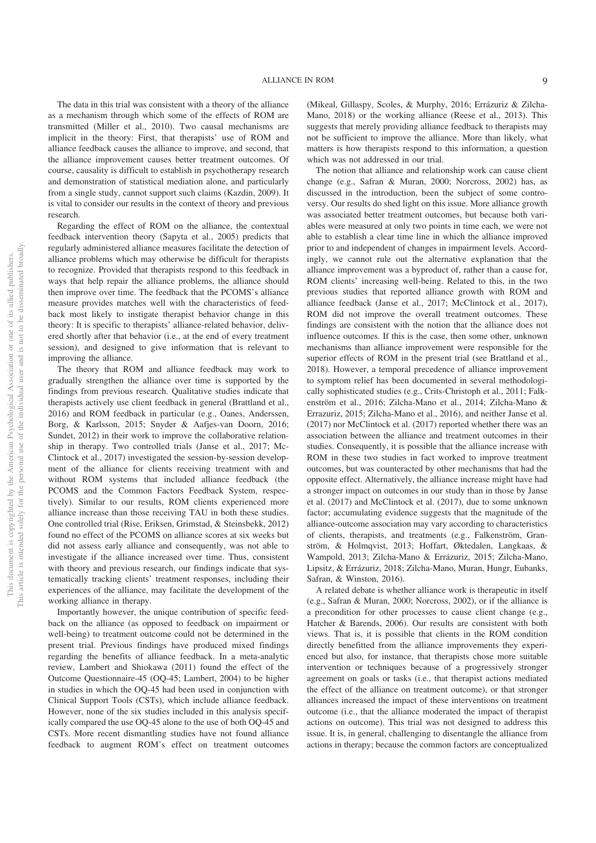The data in this trial was consistent with a theory of the alliance as a mechanism through which some of the effects of ROM are transmitted (Miller et al., 2010). Two causal mechanisms are implicit in the theory: First, that therapists' use of ROM and alliance feedback causes the alliance to improve, and second, that the alliance improvement causes better treatment outcomes. Of course, causality is difficult to establish in psychotherapy research and demonstration of statistical mediation alone, and particularly from a single study, cannot support such claims (Kazdin, 2009). It is vital to consider our results in the context of theory and previous research.

Regarding the effect of ROM on the alliance, the contextual feedback intervention theory (Sapyta et al., 2005) predicts that regularly administered alliance measures facilitate the detection of alliance problems which may otherwise be difficult for therapists to recognize. Provided that therapists respond to this feedback in ways that help repair the alliance problems, the alliance should then improve over time. The feedback that the PCOMS's alliance measure provides matches well with the characteristics of feedback most likely to instigate therapist behavior change in this theory: It is specific to therapists' alliance-related behavior, delivered shortly after that behavior (i.e., at the end of every treatment session), and designed to give information that is relevant to improving the alliance.

The theory that ROM and alliance feedback may work to gradually strengthen the alliance over time is supported by the findings from previous research. Qualitative studies indicate that therapists actively use client feedback in general (Brattland et al., 2016) and ROM feedback in particular (e.g., Oanes, Anderssen, Borg, & Karlsson, 2015; Snyder & Aafjes-van Doorn, 2016; Sundet, 2012) in their work to improve the collaborative relationship in therapy. Two controlled trials (Janse et al., 2017; Mc-Clintock et al., 2017) investigated the session-by-session development of the alliance for clients receiving treatment with and without ROM systems that included alliance feedback (the PCOMS and the Common Factors Feedback System, respectively). Similar to our results, ROM clients experienced more alliance increase than those receiving TAU in both these studies. One controlled trial (Rise, Eriksen, Grimstad, & Steinsbekk, 2012) found no effect of the PCOMS on alliance scores at six weeks but did not assess early alliance and consequently, was not able to investigate if the alliance increased over time. Thus, consistent with theory and previous research, our findings indicate that systematically tracking clients' treatment responses, including their experiences of the alliance, may facilitate the development of the working alliance in therapy.

Importantly however, the unique contribution of specific feedback on the alliance (as opposed to feedback on impairment or well-being) to treatment outcome could not be determined in the present trial. Previous findings have produced mixed findings regarding the benefits of alliance feedback. In a meta-analytic review, Lambert and Shiokawa (2011) found the effect of the Outcome Questionnaire-45 (OQ-45; Lambert, 2004) to be higher in studies in which the OQ-45 had been used in conjunction with Clinical Support Tools (CSTs), which include alliance feedback. However, none of the six studies included in this analysis specifically compared the use OQ-45 alone to the use of both OQ-45 and CSTs. More recent dismantling studies have not found alliance feedback to augment ROM's effect on treatment outcomes

(Mikeal, Gillaspy, Scoles, & Murphy, 2016; Errázuriz & Zilcha-Mano, 2018) or the working alliance (Reese et al., 2013). This suggests that merely providing alliance feedback to therapists may not be sufficient to improve the alliance. More than likely, what matters is how therapists respond to this information, a question which was not addressed in our trial.

The notion that alliance and relationship work can cause client change (e.g., Safran & Muran, 2000; Norcross, 2002) has, as discussed in the introduction, been the subject of some controversy. Our results do shed light on this issue. More alliance growth was associated better treatment outcomes, but because both variables were measured at only two points in time each, we were not able to establish a clear time line in which the alliance improved prior to and independent of changes in impairment levels. Accordingly, we cannot rule out the alternative explanation that the alliance improvement was a byproduct of, rather than a cause for, ROM clients' increasing well-being. Related to this, in the two previous studies that reported alliance growth with ROM and alliance feedback (Janse et al., 2017; McClintock et al., 2017), ROM did not improve the overall treatment outcomes. These findings are consistent with the notion that the alliance does not influence outcomes. If this is the case, then some other, unknown mechanisms than alliance improvement were responsible for the superior effects of ROM in the present trial (see Brattland et al., 2018). However, a temporal precedence of alliance improvement to symptom relief has been documented in several methodologically sophisticated studies (e.g., Crits-Christoph et al., 2011; Falkenström et al., 2016; Zilcha-Mano et al., 2014; Zilcha-Mano & Errazuriz, 2015; Zilcha-Mano et al., 2016), and neither Janse et al. (2017) nor McClintock et al. (2017) reported whether there was an association between the alliance and treatment outcomes in their studies. Consequently, it is possible that the alliance increase with ROM in these two studies in fact worked to improve treatment outcomes, but was counteracted by other mechanisms that had the opposite effect. Alternatively, the alliance increase might have had a stronger impact on outcomes in our study than in those by Janse et al. (2017) and McClintock et al. (2017), due to some unknown factor; accumulating evidence suggests that the magnitude of the alliance-outcome association may vary according to characteristics of clients, therapists, and treatments (e.g., Falkenström, Granström, & Holmqvist, 2013; Hoffart, Øktedalen, Langkaas, & Wampold, 2013; Zilcha-Mano & Errázuriz, 2015; Zilcha-Mano, Lipsitz, & Errázuriz, 2018; Zilcha-Mano, Muran, Hungr, Eubanks, Safran, & Winston, 2016).

A related debate is whether alliance work is therapeutic in itself (e.g., Safran & Muran, 2000; Norcross, 2002), or if the alliance is a precondition for other processes to cause client change (e.g., Hatcher & Barends, 2006). Our results are consistent with both views. That is, it is possible that clients in the ROM condition directly benefitted from the alliance improvements they experienced but also, for instance, that therapists chose more suitable intervention or techniques because of a progressively stronger agreement on goals or tasks (i.e., that therapist actions mediated the effect of the alliance on treatment outcome), or that stronger alliances increased the impact of these interventions on treatment outcome (i.e., that the alliance moderated the impact of therapist actions on outcome). This trial was not designed to address this issue. It is, in general, challenging to disentangle the alliance from actions in therapy; because the common factors are conceptualized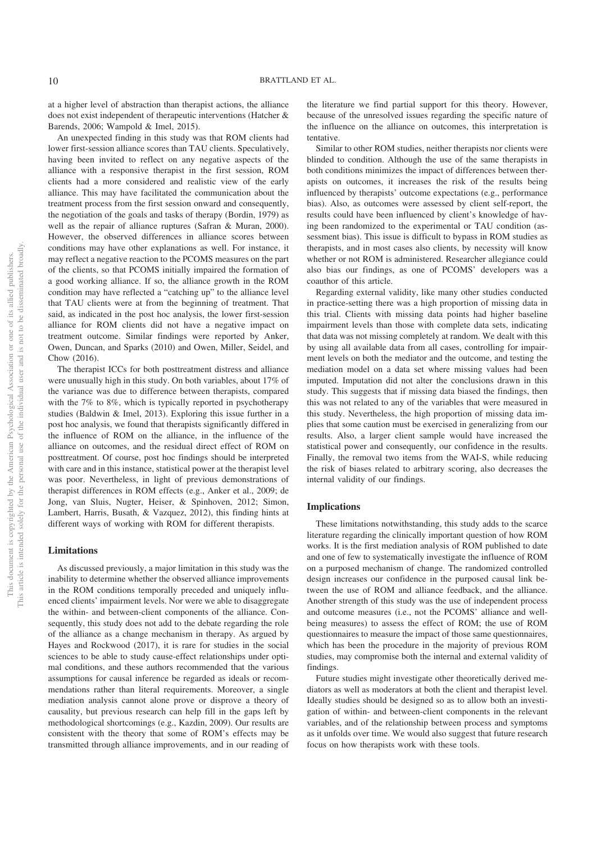at a higher level of abstraction than therapist actions, the alliance does not exist independent of therapeutic interventions (Hatcher & Barends, 2006; Wampold & Imel, 2015).

An unexpected finding in this study was that ROM clients had lower first-session alliance scores than TAU clients. Speculatively, having been invited to reflect on any negative aspects of the alliance with a responsive therapist in the first session, ROM clients had a more considered and realistic view of the early alliance. This may have facilitated the communication about the treatment process from the first session onward and consequently, the negotiation of the goals and tasks of therapy (Bordin, 1979) as well as the repair of alliance ruptures (Safran & Muran, 2000). However, the observed differences in alliance scores between conditions may have other explanations as well. For instance, it may reflect a negative reaction to the PCOMS measures on the part of the clients, so that PCOMS initially impaired the formation of a good working alliance. If so, the alliance growth in the ROM condition may have reflected a "catching up" to the alliance level that TAU clients were at from the beginning of treatment. That said, as indicated in the post hoc analysis, the lower first-session alliance for ROM clients did not have a negative impact on treatment outcome. Similar findings were reported by Anker, Owen, Duncan, and Sparks (2010) and Owen, Miller, Seidel, and Chow (2016).

The therapist ICCs for both posttreatment distress and alliance were unusually high in this study. On both variables, about 17% of the variance was due to difference between therapists, compared with the 7% to 8%, which is typically reported in psychotherapy studies (Baldwin & Imel, 2013). Exploring this issue further in a post hoc analysis, we found that therapists significantly differed in the influence of ROM on the alliance, in the influence of the alliance on outcomes, and the residual direct effect of ROM on posttreatment. Of course, post hoc findings should be interpreted with care and in this instance, statistical power at the therapist level was poor. Nevertheless, in light of previous demonstrations of therapist differences in ROM effects (e.g., Anker et al., 2009; de Jong, van Sluis, Nugter, Heiser, & Spinhoven, 2012; Simon, Lambert, Harris, Busath, & Vazquez, 2012), this finding hints at different ways of working with ROM for different therapists.

#### **Limitations**

As discussed previously, a major limitation in this study was the inability to determine whether the observed alliance improvements in the ROM conditions temporally preceded and uniquely influenced clients' impairment levels. Nor were we able to disaggregate the within- and between-client components of the alliance. Consequently, this study does not add to the debate regarding the role of the alliance as a change mechanism in therapy. As argued by Hayes and Rockwood (2017), it is rare for studies in the social sciences to be able to study cause-effect relationships under optimal conditions, and these authors recommended that the various assumptions for causal inference be regarded as ideals or recommendations rather than literal requirements. Moreover, a single mediation analysis cannot alone prove or disprove a theory of causality, but previous research can help fill in the gaps left by methodological shortcomings (e.g., Kazdin, 2009). Our results are consistent with the theory that some of ROM's effects may be transmitted through alliance improvements, and in our reading of the literature we find partial support for this theory. However, because of the unresolved issues regarding the specific nature of the influence on the alliance on outcomes, this interpretation is tentative.

Similar to other ROM studies, neither therapists nor clients were blinded to condition. Although the use of the same therapists in both conditions minimizes the impact of differences between therapists on outcomes, it increases the risk of the results being influenced by therapists' outcome expectations (e.g., performance bias). Also, as outcomes were assessed by client self-report, the results could have been influenced by client's knowledge of having been randomized to the experimental or TAU condition (assessment bias). This issue is difficult to bypass in ROM studies as therapists, and in most cases also clients, by necessity will know whether or not ROM is administered. Researcher allegiance could also bias our findings, as one of PCOMS' developers was a coauthor of this article.

Regarding external validity, like many other studies conducted in practice-setting there was a high proportion of missing data in this trial. Clients with missing data points had higher baseline impairment levels than those with complete data sets, indicating that data was not missing completely at random. We dealt with this by using all available data from all cases, controlling for impairment levels on both the mediator and the outcome, and testing the mediation model on a data set where missing values had been imputed. Imputation did not alter the conclusions drawn in this study. This suggests that if missing data biased the findings, then this was not related to any of the variables that were measured in this study. Nevertheless, the high proportion of missing data implies that some caution must be exercised in generalizing from our results. Also, a larger client sample would have increased the statistical power and consequently, our confidence in the results. Finally, the removal two items from the WAI-S, while reducing the risk of biases related to arbitrary scoring, also decreases the internal validity of our findings.

#### **Implications**

These limitations notwithstanding, this study adds to the scarce literature regarding the clinically important question of how ROM works. It is the first mediation analysis of ROM published to date and one of few to systematically investigate the influence of ROM on a purposed mechanism of change. The randomized controlled design increases our confidence in the purposed causal link between the use of ROM and alliance feedback, and the alliance. Another strength of this study was the use of independent process and outcome measures (i.e., not the PCOMS' alliance and wellbeing measures) to assess the effect of ROM; the use of ROM questionnaires to measure the impact of those same questionnaires, which has been the procedure in the majority of previous ROM studies, may compromise both the internal and external validity of findings.

Future studies might investigate other theoretically derived mediators as well as moderators at both the client and therapist level. Ideally studies should be designed so as to allow both an investigation of within- and between-client components in the relevant variables, and of the relationship between process and symptoms as it unfolds over time. We would also suggest that future research focus on how therapists work with these tools.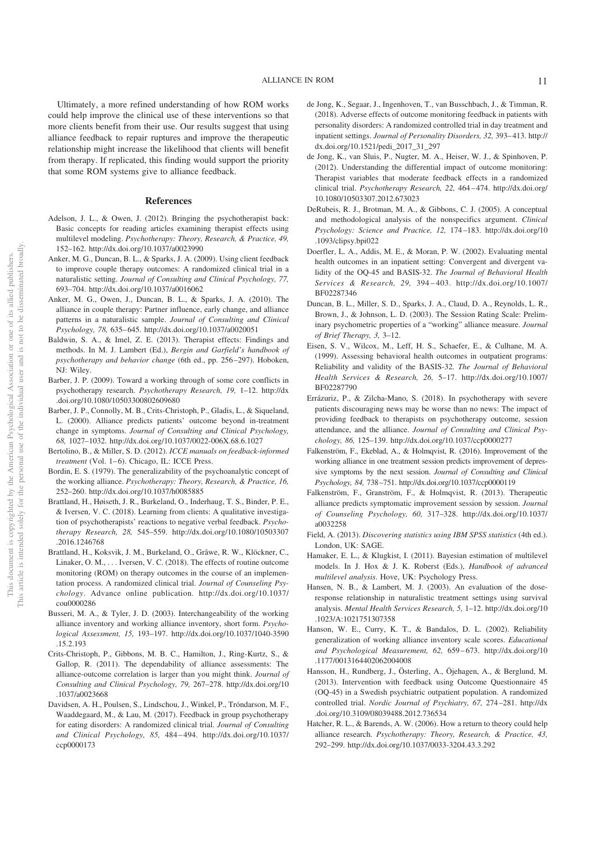Ultimately, a more refined understanding of how ROM works could help improve the clinical use of these interventions so that more clients benefit from their use. Our results suggest that using alliance feedback to repair ruptures and improve the therapeutic relationship might increase the likelihood that clients will benefit from therapy. If replicated, this finding would support the priority that some ROM systems give to alliance feedback.

#### **References**

- Adelson, J. L., & Owen, J. (2012). Bringing the psychotherapist back: Basic concepts for reading articles examining therapist effects using multilevel modeling. *Psychotherapy: Theory, Research, & Practice, 49,* 152–162. http://dx.doi.org/10.1037/a0023990
- Anker, M. G., Duncan, B. L., & Sparks, J. A. (2009). Using client feedback to improve couple therapy outcomes: A randomized clinical trial in a naturalistic setting. *Journal of Consulting and Clinical Psychology, 77,* 693–704. http://dx.doi.org/10.1037/a0016062
- Anker, M. G., Owen, J., Duncan, B. L., & Sparks, J. A. (2010). The alliance in couple therapy: Partner influence, early change, and alliance patterns in a naturalistic sample. *Journal of Consulting and Clinical Psychology, 78,* 635– 645. http://dx.doi.org/10.1037/a0020051
- Baldwin, S. A., & Imel, Z. E. (2013). Therapist effects: Findings and methods. In M. J. Lambert (Ed.), *Bergin and Garfield's handbook of psychotherapy and behavior change* (6th ed., pp. 256 –297). Hoboken, NJ: Wiley.
- Barber, J. P. (2009). Toward a working through of some core conflicts in psychotherapy research. *Psychotherapy Research, 19,* 1–12. http://dx .doi.org/10.1080/10503300802609680
- Barber, J. P., Connolly, M. B., Crits-Christoph, P., Gladis, L., & Siqueland, L. (2000). Alliance predicts patients' outcome beyond in-treatment change in symptoms. *Journal of Consulting and Clinical Psychology, 68,* 1027–1032. http://dx.doi.org/10.1037/0022-006X.68.6.1027
- Bertolino, B., & Miller, S. D. (2012). *ICCE manuals on feedback-informed treatment* (Vol. 1-6). Chicago, IL: ICCE Press.
- Bordin, E. S. (1979). The generalizability of the psychoanalytic concept of the working alliance. *Psychotherapy: Theory, Research, & Practice, 16,* 252–260. http://dx.doi.org/10.1037/h0085885
- Brattland, H., Høiseth, J. R., Burkeland, O., Inderhaug, T. S., Binder, P. E., & Iversen, V. C. (2018). Learning from clients: A qualitative investigation of psychotherapists' reactions to negative verbal feedback. *Psychotherapy Research, 28,* 545–559. http://dx.doi.org/10.1080/10503307 .2016.1246768
- Brattland, H., Koksvik, J. M., Burkeland, O., Gråwe, R. W., Klöckner, C., Linaker, O. M.,... Iversen, V. C. (2018). The effects of routine outcome monitoring (ROM) on therapy outcomes in the course of an implementation process. A randomized clinical trial. *Journal of Counseling Psychology*. Advance online publication. http://dx.doi.org/10.1037/ cou0000286
- Busseri, M. A., & Tyler, J. D. (2003). Interchangeability of the working alliance inventory and working alliance inventory, short form. *Psychological Assessment, 15,* 193–197. http://dx.doi.org/10.1037/1040-3590 .15.2.193
- Crits-Christoph, P., Gibbons, M. B. C., Hamilton, J., Ring-Kurtz, S., & Gallop, R. (2011). The dependability of alliance assessments: The alliance-outcome correlation is larger than you might think. *Journal of Consulting and Clinical Psychology, 79,* 267–278. http://dx.doi.org/10 .1037/a0023668
- Davidsen, A. H., Poulsen, S., Lindschou, J., Winkel, P., Tróndarson, M. F., Waaddegaard, M., & Lau, M. (2017). Feedback in group psychotherapy for eating disorders: A randomized clinical trial. *Journal of Consulting and Clinical Psychology, 85,* 484 – 494. http://dx.doi.org/10.1037/ ccp0000173
- de Jong, K., Segaar, J., Ingenhoven, T., van Busschbach, J., & Timman, R. (2018). Adverse effects of outcome monitoring feedback in patients with personality disorders: A randomized controlled trial in day treatment and inpatient settings. *Journal of Personality Disorders, 32,* 393– 413. http:// dx.doi.org/10.1521/pedi\_2017\_31\_297
- de Jong, K., van Sluis, P., Nugter, M. A., Heiser, W. J., & Spinhoven, P. (2012). Understanding the differential impact of outcome monitoring: Therapist variables that moderate feedback effects in a randomized clinical trial. *Psychotherapy Research, 22,* 464 – 474. http://dx.doi.org/ 10.1080/10503307.2012.673023
- DeRubeis, R. J., Brotman, M. A., & Gibbons, C. J. (2005). A conceptual and methodological analysis of the nonspecifics argument. *Clinical Psychology: Science and Practice, 12,* 174 –183. http://dx.doi.org/10 .1093/clipsy.bpi022
- Doerfler, L. A., Addis, M. E., & Moran, P. W. (2002). Evaluating mental health outcomes in an inpatient setting: Convergent and divergent validity of the OQ-45 and BASIS-32. *The Journal of Behavioral Health Services & Research, 29,* 394 – 403. http://dx.doi.org/10.1007/ BF02287346
- Duncan, B. L., Miller, S. D., Sparks, J. A., Claud, D. A., Reynolds, L. R., Brown, J., & Johnson, L. D. (2003). The Session Rating Scale: Preliminary psychometric properties of a "working" alliance measure. *Journal of Brief Therapy, 3,* 3–12.
- Eisen, S. V., Wilcox, M., Leff, H. S., Schaefer, E., & Culhane, M. A. (1999). Assessing behavioral health outcomes in outpatient programs: Reliability and validity of the BASIS-32. *The Journal of Behavioral Health Services & Research, 26,* 5–17. http://dx.doi.org/10.1007/ BF02287790
- Errázuriz, P., & Zilcha-Mano, S. (2018). In psychotherapy with severe patients discouraging news may be worse than no news: The impact of providing feedback to therapists on psychotherapy outcome, session attendance, and the alliance. *Journal of Consulting and Clinical Psychology, 86,* 125–139. http://dx.doi.org/10.1037/ccp0000277
- Falkenström, F., Ekeblad, A., & Holmqvist, R. (2016). Improvement of the working alliance in one treatment session predicts improvement of depressive symptoms by the next session. *Journal of Consulting and Clinical Psychology, 84,* 738 –751. http://dx.doi.org/10.1037/ccp0000119
- Falkenström, F., Granström, F., & Holmqvist, R. (2013). Therapeutic alliance predicts symptomatic improvement session by session. *Journal of Counseling Psychology, 60,* 317–328. http://dx.doi.org/10.1037/ a0032258
- Field, A. (2013). *Discovering statistics using IBM SPSS statistics* (4th ed.). London, UK: SAGE.
- Hamaker, E. L., & Klugkist, I. (2011). Bayesian estimation of multilevel models. In J. Hox & J. K. Roberst (Eds.), *Handbook of advanced multilevel analysis*. Hove, UK: Psychology Press.
- Hansen, N. B., & Lambert, M. J. (2003). An evaluation of the doseresponse relationship in naturalistic treatment settings using survival analysis. *Mental Health Services Research, 5,* 1–12. http://dx.doi.org/10 .1023/A:1021751307358
- Hanson, W. E., Curry, K. T., & Bandalos, D. L. (2002). Reliability generalization of working alliance inventory scale scores. *Educational and Psychological Measurement, 62,* 659 – 673. http://dx.doi.org/10 .1177/0013164402062004008
- Hansson, H., Rundberg, J., Österling, A., Öjehagen, A., & Berglund, M. (2013). Intervention with feedback using Outcome Questionnaire 45 (OQ-45) in a Swedish psychiatric outpatient population. A randomized controlled trial. *Nordic Journal of Psychiatry, 67,* 274 –281. http://dx .doi.org/10.3109/08039488.2012.736534
- Hatcher, R. L., & Barends, A. W. (2006). How a return to theory could help alliance research. *Psychotherapy: Theory, Research, & Practice, 43,* 292–299. http://dx.doi.org/10.1037/0033-3204.43.3.292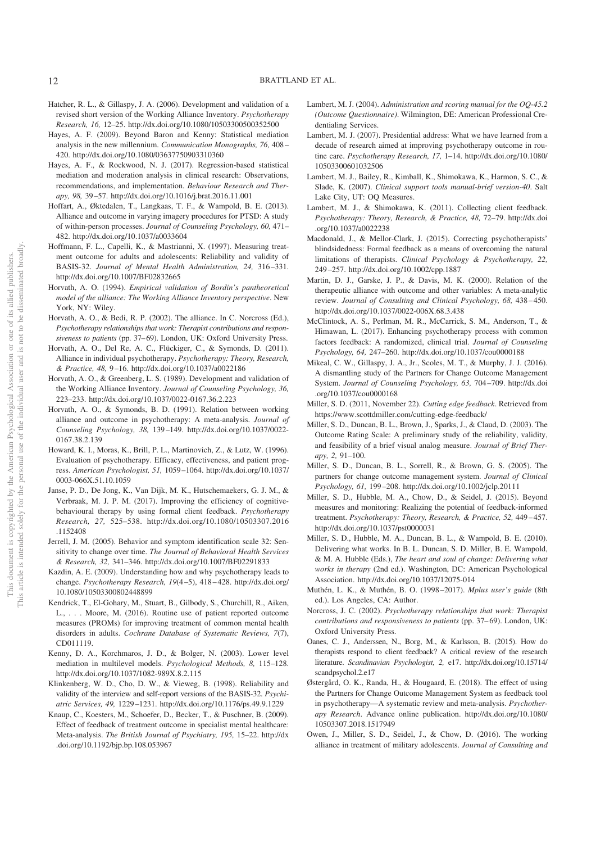- Hatcher, R. L., & Gillaspy, J. A. (2006). Development and validation of a revised short version of the Working Alliance Inventory. *Psychotherapy Research, 16,* 12–25. http://dx.doi.org/10.1080/10503300500352500
- Hayes, A. F. (2009). Beyond Baron and Kenny: Statistical mediation analysis in the new millennium. *Communication Monographs, 76,* 408 – 420. http://dx.doi.org/10.1080/03637750903310360
- Hayes, A. F., & Rockwood, N. J. (2017). Regression-based statistical mediation and moderation analysis in clinical research: Observations, recommendations, and implementation. *Behaviour Research and Therapy, 98,* 39 –57. http://dx.doi.org/10.1016/j.brat.2016.11.001
- Hoffart, A., Øktedalen, T., Langkaas, T. F., & Wampold, B. E. (2013). Alliance and outcome in varying imagery procedures for PTSD: A study of within-person processes. *Journal of Counseling Psychology, 60,* 471– 482. http://dx.doi.org/10.1037/a0033604
- Hoffmann, F. L., Capelli, K., & Mastrianni, X. (1997). Measuring treatment outcome for adults and adolescents: Reliability and validity of BASIS-32. *Journal of Mental Health Administration, 24,* 316 –331. http://dx.doi.org/10.1007/BF02832665
- Horvath, A. O. (1994). *Empirical validation of Bordin's pantheoretical model of the alliance: The Working Alliance Inventory perspective*. New York, NY: Wiley.
- Horvath, A. O., & Bedi, R. P. (2002). The alliance. In C. Norcross (Ed.), *Psychotherapy relationships that work: Therapist contributions and respon*siveness to patients (pp. 37-69). London, UK: Oxford University Press.
- Horvath, A. O., Del Re, A. C., Flückiger, C., & Symonds, D. (2011). Alliance in individual psychotherapy. *Psychotherapy: Theory, Research, & Practice, 48,* 9 –16. http://dx.doi.org/10.1037/a0022186
- Horvath, A. O., & Greenberg, L. S. (1989). Development and validation of the Working Alliance Inventory. *Journal of Counseling Psychology, 36,* 223–233. http://dx.doi.org/10.1037/0022-0167.36.2.223
- Horvath, A. O., & Symonds, B. D. (1991). Relation between working alliance and outcome in psychotherapy: A meta-analysis. *Journal of Counseling Psychology, 38,* 139 –149. http://dx.doi.org/10.1037/0022- 0167.38.2.139
- Howard, K. I., Moras, K., Brill, P. L., Martinovich, Z., & Lutz, W. (1996). Evaluation of psychotherapy. Efficacy, effectiveness, and patient progress. *American Psychologist, 51,* 1059 –1064. http://dx.doi.org/10.1037/ 0003-066X.51.10.1059
- Janse, P. D., De Jong, K., Van Dijk, M. K., Hutschemaekers, G. J. M., & Verbraak, M. J. P. M. (2017). Improving the efficiency of cognitivebehavioural therapy by using formal client feedback. *Psychotherapy Research, 27,* 525–538. http://dx.doi.org/10.1080/10503307.2016 .1152408
- Jerrell, J. M. (2005). Behavior and symptom identification scale 32: Sensitivity to change over time. *The Journal of Behavioral Health Services & Research, 32,* 341–346. http://dx.doi.org/10.1007/BF02291833
- Kazdin, A. E. (2009). Understanding how and why psychotherapy leads to change. Psychotherapy Research, 19(4-5), 418-428. http://dx.doi.org/ 10.1080/10503300802448899
- Kendrick, T., El-Gohary, M., Stuart, B., Gilbody, S., Churchill, R., Aiken, L., . . . Moore, M. (2016). Routine use of patient reported outcome measures (PROMs) for improving treatment of common mental health disorders in adults. *Cochrane Database of Systematic Reviews, 7*(7), CD011119.
- Kenny, D. A., Korchmaros, J. D., & Bolger, N. (2003). Lower level mediation in multilevel models. *Psychological Methods, 8,* 115–128. http://dx.doi.org/10.1037/1082-989X.8.2.115
- Klinkenberg, W. D., Cho, D. W., & Vieweg, B. (1998). Reliability and validity of the interview and self-report versions of the BASIS-32. *Psychiatric Services, 49,* 1229 –1231. http://dx.doi.org/10.1176/ps.49.9.1229
- Knaup, C., Koesters, M., Schoefer, D., Becker, T., & Puschner, B. (2009). Effect of feedback of treatment outcome in specialist mental healthcare: Meta-analysis. *The British Journal of Psychiatry, 195,* 15–22. http://dx .doi.org/10.1192/bjp.bp.108.053967
- Lambert, M. J. (2004). *Administration and scoring manual for the OQ-45.2 (Outcome Questionnaire)*. Wilmington, DE: American Professional Credentialing Services.
- Lambert, M. J. (2007). Presidential address: What we have learned from a decade of research aimed at improving psychotherapy outcome in routine care. *Psychotherapy Research, 17,* 1–14. http://dx.doi.org/10.1080/ 10503300601032506
- Lambert, M. J., Bailey, R., Kimball, K., Shimokawa, K., Harmon, S. C., & Slade, K. (2007). *Clinical support tools manual-brief version-40*. Salt Lake City, UT: OQ Measures.
- Lambert, M. J., & Shimokawa, K. (2011). Collecting client feedback. *Psychotherapy: Theory, Research, & Practice, 48,* 72–79. http://dx.doi .org/10.1037/a0022238
- Macdonald, J., & Mellor-Clark, J. (2015). Correcting psychotherapists' blindsidedness: Formal feedback as a means of overcoming the natural limitations of therapists. *Clinical Psychology & Psychotherapy, 22,* 249 –257. http://dx.doi.org/10.1002/cpp.1887
- Martin, D. J., Garske, J. P., & Davis, M. K. (2000). Relation of the therapeutic alliance with outcome and other variables: A meta-analytic review. *Journal of Consulting and Clinical Psychology, 68, 438-450.* http://dx.doi.org/10.1037/0022-006X.68.3.438
- McClintock, A. S., Perlman, M. R., McCarrick, S. M., Anderson, T., & Himawan, L. (2017). Enhancing psychotherapy process with common factors feedback: A randomized, clinical trial. *Journal of Counseling Psychology, 64,* 247–260. http://dx.doi.org/10.1037/cou0000188
- Mikeal, C. W., Gillaspy, J. A., Jr., Scoles, M. T., & Murphy, J. J. (2016). A dismantling study of the Partners for Change Outcome Management System. *Journal of Counseling Psychology, 63,* 704 –709. http://dx.doi .org/10.1037/cou0000168
- Miller, S. D. (2011, November 22). *Cutting edge feedback*. Retrieved from https://www.scottdmiller.com/cutting-edge-feedback/
- Miller, S. D., Duncan, B. L., Brown, J., Sparks, J., & Claud, D. (2003). The Outcome Rating Scale: A preliminary study of the reliability, validity, and feasibility of a brief visual analog measure. *Journal of Brief Therapy, 2,* 91–100.
- Miller, S. D., Duncan, B. L., Sorrell, R., & Brown, G. S. (2005). The partners for change outcome management system. *Journal of Clinical Psychology, 61,* 199 –208. http://dx.doi.org/10.1002/jclp.20111
- Miller, S. D., Hubble, M. A., Chow, D., & Seidel, J. (2015). Beyond measures and monitoring: Realizing the potential of feedback-informed treatment. *Psychotherapy: Theory, Research, & Practice, 52, 449-457.* http://dx.doi.org/10.1037/pst0000031
- Miller, S. D., Hubble, M. A., Duncan, B. L., & Wampold, B. E. (2010). Delivering what works. In B. L. Duncan, S. D. Miller, B. E. Wampold, & M. A. Hubble (Eds.), *The heart and soul of change: Delivering what works in therapy* (2nd ed.). Washington, DC: American Psychological Association. http://dx.doi.org/10.1037/12075-014
- Muthén, L. K., & Muthén, B. O. (1998 –2017). *Mplus user's guide* (8th ed.). Los Angeles, CA: Author.
- Norcross, J. C. (2002). *Psychotherapy relationships that work: Therapist contributions and responsiveness to patients* (pp. 37–69). London, UK: Oxford University Press.
- Oanes, C. J., Anderssen, N., Borg, M., & Karlsson, B. (2015). How do therapists respond to client feedback? A critical review of the research literature. *Scandinavian Psychologist, 2,* e17. http://dx.doi.org/10.15714/ scandpsychol.2.e17
- Østergård, O. K., Randa, H., & Hougaard, E. (2018). The effect of using the Partners for Change Outcome Management System as feedback tool in psychotherapy—A systematic review and meta-analysis. *Psychotherapy Research*. Advance online publication. http://dx.doi.org/10.1080/ 10503307.2018.1517949
- Owen, J., Miller, S. D., Seidel, J., & Chow, D. (2016). The working alliance in treatment of military adolescents. *Journal of Consulting and*